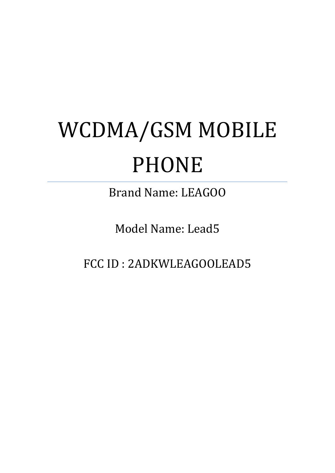# WCDMA/GSM MOBILE PHONE

Brand Name: LEAGOO

Model Name: Lead5

FCC ID : 2ADKWLEAGOOLEAD5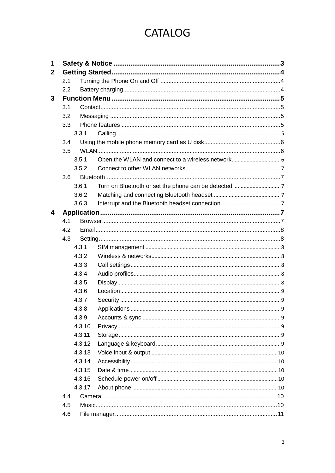# **CATALOG**

| 1           |     |        |              |     |  |  |  |  |
|-------------|-----|--------|--------------|-----|--|--|--|--|
| $\mathbf 2$ |     |        |              |     |  |  |  |  |
|             | 2.1 |        |              |     |  |  |  |  |
|             | 2.2 |        |              |     |  |  |  |  |
| 3           |     |        |              |     |  |  |  |  |
|             | 3.1 |        |              |     |  |  |  |  |
|             | 3.2 |        |              |     |  |  |  |  |
|             | 3.3 |        |              |     |  |  |  |  |
|             |     | 3.3.1  |              |     |  |  |  |  |
|             | 3.4 |        |              |     |  |  |  |  |
|             | 3.5 |        |              |     |  |  |  |  |
|             |     | 3.5.1  |              |     |  |  |  |  |
|             |     | 3.5.2  |              |     |  |  |  |  |
|             | 3.6 |        |              |     |  |  |  |  |
|             |     | 3.6.1  |              |     |  |  |  |  |
|             |     | 3.6.2  |              |     |  |  |  |  |
|             |     | 3.6.3  |              |     |  |  |  |  |
| 4           |     |        |              |     |  |  |  |  |
|             | 4.1 |        |              |     |  |  |  |  |
|             | 4.2 |        |              |     |  |  |  |  |
|             | 4.3 |        |              |     |  |  |  |  |
|             |     | 4.3.1  |              |     |  |  |  |  |
|             |     | 4.3.2  |              |     |  |  |  |  |
|             |     | 4.3.3  |              |     |  |  |  |  |
|             |     | 4.3.4  |              |     |  |  |  |  |
|             |     | 4.3.5  |              |     |  |  |  |  |
|             |     | 4.3.6  |              |     |  |  |  |  |
|             |     | 4.3.7  |              |     |  |  |  |  |
|             |     | 4.3.8  | Applications | . 9 |  |  |  |  |
|             |     | 4.3.9  |              |     |  |  |  |  |
|             |     | 4.3.10 |              |     |  |  |  |  |
|             |     | 4.3.11 |              |     |  |  |  |  |
|             |     | 4.3.12 |              |     |  |  |  |  |
|             |     | 4.3.13 |              |     |  |  |  |  |
|             |     | 4.3.14 |              |     |  |  |  |  |
|             |     | 4.3.15 |              |     |  |  |  |  |
|             |     | 4.3.16 |              |     |  |  |  |  |
|             |     | 4.3.17 |              |     |  |  |  |  |
|             | 4.4 |        |              |     |  |  |  |  |
|             | 4.5 |        |              |     |  |  |  |  |
|             | 4.6 |        |              |     |  |  |  |  |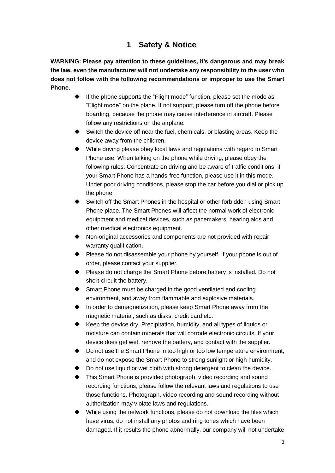## <span id="page-2-0"></span>**1 Safety & Notice**

**WARNING: Please pay attention to these guidelines, it's dangerous and may break the law, even the manufacturer will not undertake any responsibility to the user who does not follow with the following recommendations or improper to use the Smart Phone.**

- If the phone supports the "Flight mode" function, please set the mode as "Flight mode" on the plane. If not support, please turn off the phone before boarding, because the phone may cause interference in aircraft. Please follow any restrictions on the airplane.
- Switch the device off near the fuel, chemicals, or blasting areas. Keep the device away from the children.
- While driving please obey local laws and regulations with regard to Smart Phone use. When talking on the phone while driving, please obey the following rules: Concentrate on driving and be aware of traffic conditions; if your Smart Phone has a hands-free function, please use it in this mode. Under poor driving conditions, please stop the car before you dial or pick up the phone.
- Switch off the Smart Phones in the hospital or other forbidden using Smart Phone place. The Smart Phones will affect the normal work of electronic equipment and medical devices, such as pacemakers, hearing aids and other medical electronics equipment.
- Non-original accessories and components are not provided with repair warranty qualification.
- ◆ Please do not disassemble your phone by yourself, if your phone is out of order, please contact your supplier.
- ◆ Please do not charge the Smart Phone before battery is installed. Do not short-circuit the battery.
- ◆ Smart Phone must be charged in the good ventilated and cooling environment, and away from flammable and explosive materials.
- In order to demagnetization, please keep Smart Phone away from the magnetic material, such as disks, credit card etc.
- ◆ Keep the device dry. Precipitation, humidity, and all types of liquids or moisture can contain minerals that will corrode electronic circuits. If your device does get wet, remove the battery, and contact with the supplier.
- ◆ Do not use the Smart Phone in too high or too low temperature environment, and do not expose the Smart Phone to strong sunlight or high humidity.
- Do not use liquid or wet cloth with strong detergent to clean the device.
- This Smart Phone is provided photograph, video recording and sound recording functions; please follow the relevant laws and regulations to use those functions. Photograph, video recording and sound recording without authorization may violate laws and regulations.
- While using the network functions, please do not download the files which have virus, do not install any photos and ring tones which have been damaged. If it results the phone abnormally, our company will not undertake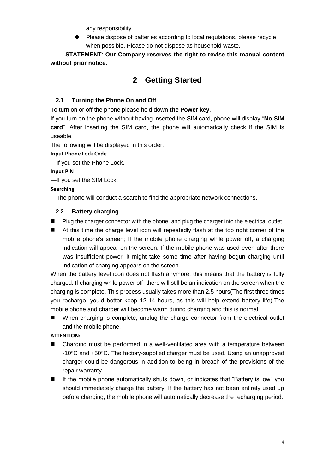any responsibility.

◆ Please dispose of batteries according to local regulations, please recycle when possible. Please do not dispose as household waste.

<span id="page-3-0"></span>**STATEMENT**: **Our Company reserves the right to revise this manual content without prior notice**.

### **2 Getting Started**

#### <span id="page-3-1"></span>**2.1 Turning the Phone On and Off**

To turn on or off the phone please hold down **the Power key**.

If you turn on the phone without having inserted the SIM card, phone will display "**No SIM card**". After inserting the SIM card, the phone will automatically check if the SIM is useable.

The following will be displayed in this order:

#### **Input Phone Lock Code**

—If you set the Phone Lock.

#### **Input PIN**

—If you set the SIM Lock.

#### **Searching**

<span id="page-3-2"></span>—The phone will conduct a search to find the appropriate network connections.

#### **2.2 Battery charging**

- **Plug the charger connector with the phone, and plug the charger into the electrical outlet.**
- At this time the charge level icon will repeatedly flash at the top right corner of the mobile phone's screen; If the mobile phone charging while power off, a charging indication will appear on the screen. If the mobile phone was used even after there was insufficient power, it might take some time after having begun charging until indication of charging appears on the screen.

When the battery level icon does not flash anymore, this means that the battery is fully charged. If charging while power off, there will still be an indication on the screen when the charging is complete. This process usually takes more than 2.5 hours(The first three times you recharge, you'd better keep 12-14 hours, as this will help extend battery life).The mobile phone and charger will become warm during charging and this is normal.

 When charging is complete, unplug the charge connector from the electrical outlet and the mobile phone.

#### **ATTENTION:**

- Charging must be performed in a well-ventilated area with a temperature between  $-10^{\circ}$ C and  $+50^{\circ}$ C. The factory-supplied charger must be used. Using an unapproved charger could be dangerous in addition to being in breach of the provisions of the repair warranty.
- If the mobile phone automatically shuts down, or indicates that "Battery is low" you should immediately charge the battery. If the battery has not been entirely used up before charging, the mobile phone will automatically decrease the recharging period.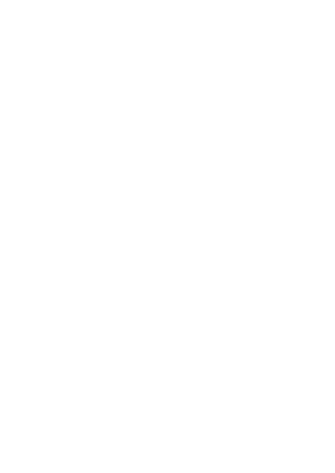## **CATALOG**

| 1          |     |        |                     |  |  |  |
|------------|-----|--------|---------------------|--|--|--|
| 2          |     |        |                     |  |  |  |
|            | 2.1 |        |                     |  |  |  |
|            | 2.2 |        |                     |  |  |  |
| 3          |     |        |                     |  |  |  |
|            | 3.1 |        |                     |  |  |  |
|            | 3.2 |        |                     |  |  |  |
|            | 3.3 |        |                     |  |  |  |
|            |     | 3.3.1  |                     |  |  |  |
| 3.4<br>3.5 |     |        |                     |  |  |  |
|            |     |        |                     |  |  |  |
|            |     | 3.5.1  |                     |  |  |  |
|            |     | 3.5.2  |                     |  |  |  |
|            | 3.6 |        |                     |  |  |  |
|            |     | 3.6.1  |                     |  |  |  |
|            |     | 3.6.2  |                     |  |  |  |
|            |     | 3.6.3  |                     |  |  |  |
| 4          |     |        |                     |  |  |  |
|            | 4.1 |        |                     |  |  |  |
|            | 4.2 |        |                     |  |  |  |
|            | 4.3 |        |                     |  |  |  |
|            |     | 4.3.1  |                     |  |  |  |
|            |     | 4.3.2  |                     |  |  |  |
|            |     | 4.3.3  |                     |  |  |  |
|            |     | 4.3.4  |                     |  |  |  |
|            |     | 4.3.5  |                     |  |  |  |
|            |     | 4.3.6  |                     |  |  |  |
|            |     | 4.3.7  |                     |  |  |  |
|            |     | 4.3.8  | <b>Applications</b> |  |  |  |
|            |     | 4.3.9  |                     |  |  |  |
|            |     | 4.3.10 |                     |  |  |  |
|            |     | 4.3.11 |                     |  |  |  |
|            |     | 4.3.12 |                     |  |  |  |
|            |     | 4.3.13 |                     |  |  |  |
|            |     | 4.3.14 |                     |  |  |  |
|            |     | 4.3.15 |                     |  |  |  |
|            |     | 4.3.16 |                     |  |  |  |
|            |     | 4.3.17 |                     |  |  |  |
|            | 4.4 |        |                     |  |  |  |
|            | 4.5 |        |                     |  |  |  |
|            | 4.6 |        |                     |  |  |  |